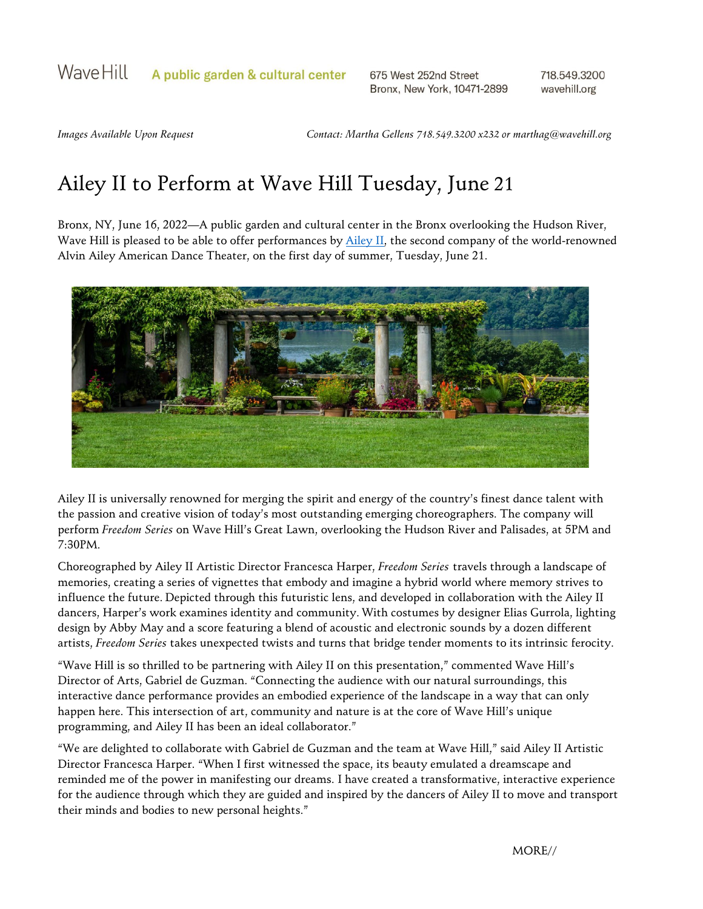675 West 252nd Street Bronx, New York, 10471-2899 718.549.3200 wavehill.org

*Images Available Upon Request Contact: Martha Gellens 718.549.3200 x232 or [marthag@wavehill.org](mailto:marthag@wavehill.org)*

## Ailey II to Perform at Wave Hill Tuesday, June 21

Bronx, NY, June 16, 2022—A public garden and cultural center in the Bronx overlooking the Hudson River, Wave Hill is pleased to be able to offer performances by [Ailey II,](https://pressroom.alvinailey.org/ailey-ii) the second company of the world-renowned Alvin Ailey American Dance Theater, on the first day of summer, Tuesday, June 21.



Ailey II is universally renowned for merging the spirit and energy of the country's finest dance talent with the passion and creative vision of today's most outstanding emerging choreographers. The company will perform *Freedom Series* on Wave Hill's Great Lawn, overlooking the Hudson River and Palisades, at 5PM and 7:30PM.

Choreographed by Ailey II Artistic Director Francesca Harper, *Freedom Series* travels through a landscape of memories, creating a series of vignettes that embody and imagine a hybrid world where memory strives to influence the future. Depicted through this futuristic lens, and developed in collaboration with the Ailey II dancers, Harper's work examines identity and community. With costumes by designer Elias Gurrola, lighting design by Abby May and a score featuring a blend of acoustic and electronic sounds by a dozen different artists, *Freedom Series* takes unexpected twists and turns that bridge tender moments to its intrinsic ferocity.

"Wave Hill is so thrilled to be partnering with Ailey II on this presentation," commented Wave Hill's Director of Arts, Gabriel de Guzman. "Connecting the audience with our natural surroundings, this interactive dance performance provides an embodied experience of the landscape in a way that can only happen here. This intersection of art, community and nature is at the core of Wave Hill's unique programming, and Ailey II has been an ideal collaborator."

"We are delighted to collaborate with Gabriel de Guzman and the team at Wave Hill," said Ailey II Artistic Director Francesca Harper. "When I first witnessed the space, its beauty emulated a dreamscape and reminded me of the power in manifesting our dreams. I have created a transformative, interactive experience for the audience through which they are guided and inspired by the dancers of Ailey II to move and transport their minds and bodies to new personal heights."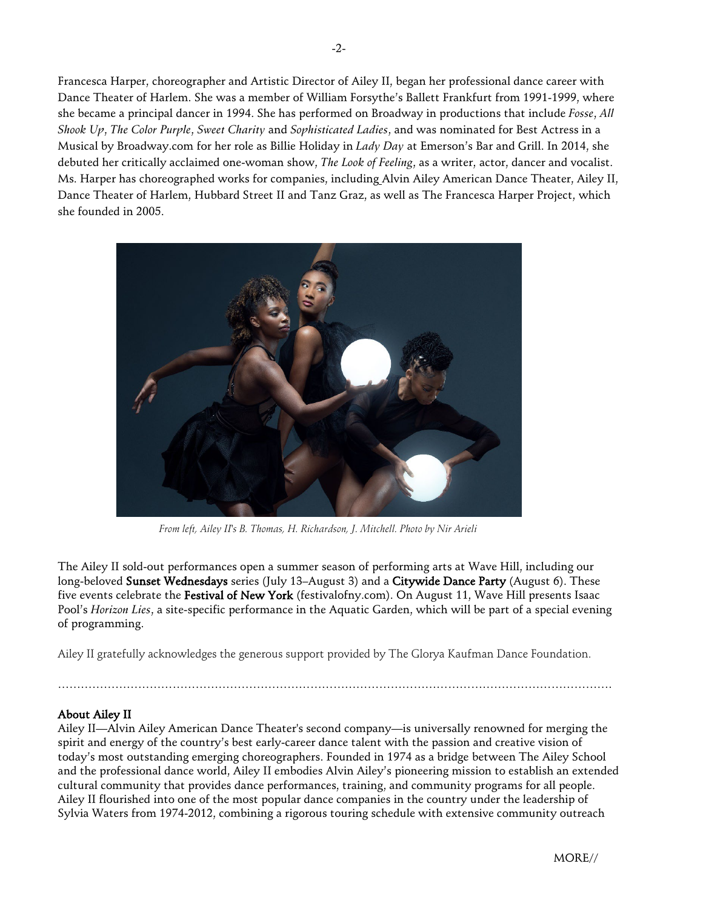Francesca Harper, choreographer and Artistic Director of Ailey II, began her professional dance career with Dance Theater of Harlem. She was a member of William Forsythe's Ballett Frankfurt from 1991-1999, where she became a principal dancer in 1994. She has performed on Broadway in productions that include *Fosse*, *All Shook Up*, *The Color Purple*, *Sweet Charity* and *Sophisticated Ladies*, and was nominated for Best Actress in a Musical by Broadway.com for her role as Billie Holiday in *Lady Day* at Emerson's Bar and Grill. In 2014, she debuted her critically acclaimed one-woman show, *The Look of Feeling*, as a writer, actor, dancer and vocalist. Ms. Harper has choreographed works for companies, including Alvin Ailey American Dance Theater, Ailey II, Dance Theater of Harlem, Hubbard Street II and Tanz Graz, as well as The Francesca Harper Project, which she founded in 2005.



*From left, Ailey II's B. Thomas, H. Richardson, J. Mitchell. Photo by Nir Arieli*

The Ailey II sold-out performances open a summer season of performing arts at Wave Hill, including our long-beloved Sunset Wednesdays series (July 13–August 3) and a Citywide Dance Party (August 6). These five events celebrate the Festival of New York (festivalofny.com). On August 11, Wave Hill presents Isaac Pool's *Horizon Lies*, a site-specific performance in the Aquatic Garden, which will be part of a special evening of programming.

Ailey II gratefully acknowledges the generous support provided by The Glorya Kaufman Dance Foundation.

……………………………………………………………………………………………………………………………….

## About Ailey II

Ailey II—Alvin Ailey American Dance Theater's second company—is universally renowned for merging the spirit and energy of the country's best early-career dance talent with the passion and creative vision of today's most outstanding emerging choreographers. Founded in 1974 as a bridge between The Ailey School and the professional dance world, Ailey II embodies Alvin Ailey's pioneering mission to establish an extended cultural community that provides dance performances, training, and community programs for all people. Ailey II flourished into one of the most popular dance companies in the country under the leadership of Sylvia Waters from 1974-2012, combining a rigorous touring schedule with extensive community outreach